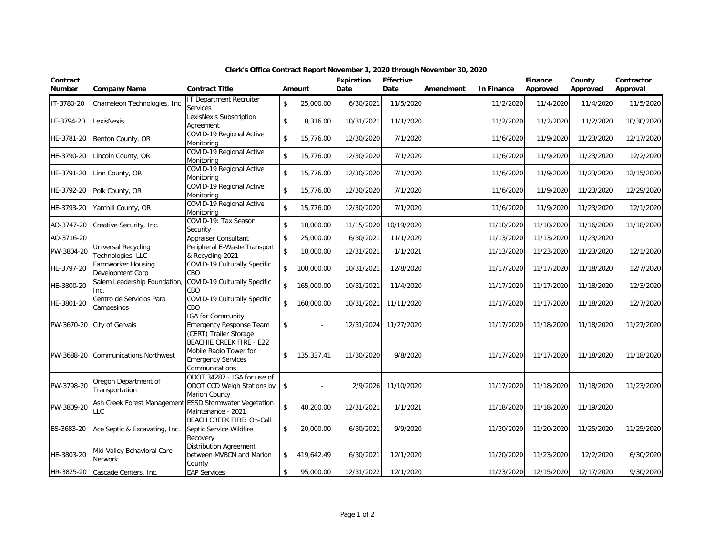| Contract<br><b>Number</b> | <b>Company Name</b>                                           | <b>Contract Title</b>                                                                                    | Amount           | <b>Expiration</b><br>Date | <b>Effective</b><br>Date | Amendment | In Finance | Finance<br>Approved | County<br>Approved | Contractor<br>Approval |
|---------------------------|---------------------------------------------------------------|----------------------------------------------------------------------------------------------------------|------------------|---------------------------|--------------------------|-----------|------------|---------------------|--------------------|------------------------|
| IT-3780-20                | Chameleon Technologies, Inc.                                  | <b>IT Department Recruiter</b><br>Services                                                               | \$<br>25,000.00  | 6/30/2021                 | 11/5/2020                |           | 11/2/2020  | 11/4/2020           | 11/4/2020          | 11/5/2020              |
| LE-3794-20                | LexisNexis                                                    | LexisNexis Subscription<br>Agreement                                                                     | \$<br>8,316.00   | 10/31/2021                | 11/1/2020                |           | 11/2/2020  | 11/2/2020           | 11/2/2020          | 10/30/2020             |
| HE-3781-20                | Benton County, OR                                             | COVID-19 Regional Active<br>Monitoring                                                                   | \$<br>15,776.00  | 12/30/2020                | 7/1/2020                 |           | 11/6/2020  | 11/9/2020           | 11/23/2020         | 12/17/2020             |
| HE-3790-20                | Lincoln County, OR                                            | COVID-19 Regional Active<br>Monitoring                                                                   | \$<br>15,776.00  | 12/30/2020                | 7/1/2020                 |           | 11/6/2020  | 11/9/2020           | 11/23/2020         | 12/2/2020              |
| HE-3791-20                | Linn County, OR                                               | COVID-19 Regional Active<br>Monitoring                                                                   | \$<br>15,776.00  | 12/30/2020                | 7/1/2020                 |           | 11/6/2020  | 11/9/2020           | 11/23/2020         | 12/15/2020             |
| HE-3792-20                | Polk County, OR                                               | COVID-19 Regional Active<br>Monitoring                                                                   | \$<br>15,776.00  | 12/30/2020                | 7/1/2020                 |           | 11/6/2020  | 11/9/2020           | 11/23/2020         | 12/29/2020             |
| HE-3793-20                | Yamhill County, OR                                            | COVID-19 Regional Active<br>Monitoring                                                                   | \$<br>15,776.00  | 12/30/2020                | 7/1/2020                 |           | 11/6/2020  | 11/9/2020           | 11/23/2020         | 12/1/2020              |
| AO-3747-20                | Creative Security, Inc.                                       | COVID-19: Tax Season<br>Security                                                                         | \$<br>10,000.00  | 11/15/2020                | 10/19/2020               |           | 11/10/2020 | 11/10/2020          | 11/16/2020         | 11/18/2020             |
| AO-3716-20                |                                                               | Appraiser Consultant                                                                                     | \$<br>25,000.00  | 6/30/2021                 | 11/1/2020                |           | 11/13/2020 | 11/13/2020          | 11/23/2020         |                        |
| PW-3804-20                | <b>Universal Recycling</b><br>Technologies, LLC               | Peripheral E-Waste Transport<br>& Recycling 2021                                                         | \$<br>10,000.00  | 12/31/2021                | 1/1/2021                 |           | 11/13/2020 | 11/23/2020          | 11/23/2020         | 12/1/2020              |
| HE-3797-20                | Farmworker Housing<br>Development Corp                        | COVID-19 Culturally Specific<br>CBO                                                                      | \$<br>100,000.00 | 10/31/2021                | 12/8/2020                |           | 11/17/2020 | 11/17/2020          | 11/18/2020         | 12/7/2020              |
| HE-3800-20                | Salem Leadership Foundation<br>Inc.                           | COVID-19 Culturally Specific<br>CBO                                                                      | \$<br>165,000.00 | 10/31/2021                | 11/4/2020                |           | 11/17/2020 | 11/17/2020          | 11/18/2020         | 12/3/2020              |
| HE-3801-20                | Centro de Servicios Para<br>Campesinos                        | COVID-19 Culturally Specific<br>CBO                                                                      | \$<br>160,000.00 | 10/31/2021                | 11/11/2020               |           | 11/17/2020 | 11/17/2020          | 11/18/2020         | 12/7/2020              |
| PW-3670-20                | City of Gervais                                               | IGA for Community<br><b>Emergency Response Team</b><br>(CERT) Trailer Storage                            | \$               | 12/31/2024                | 11/27/2020               |           | 11/17/2020 | 11/18/2020          | 11/18/2020         | 11/27/2020             |
| PW-3688-20                | <b>Communications Northwest</b>                               | <b>BEACHIE CREEK FIRE - E22</b><br>Mobile Radio Tower for<br><b>Emergency Services</b><br>Communications | \$<br>135,337.41 | 11/30/2020                | 9/8/2020                 |           | 11/17/2020 | 11/17/2020          | 11/18/2020         | 11/18/2020             |
| PW-3798-20                | Oregon Department of<br>Transportation                        | ODOT 34287 - IGA for use of<br>ODOT CCD Weigh Stations by<br>Marion County                               | \$               | 2/9/2026                  | 11/10/2020               |           | 11/17/2020 | 11/18/2020          | 11/18/2020         | 11/23/2020             |
| PW-3809-20                | Ash Creek Forest Management ESSD Stormwater Vegetation<br>LC. | Maintenance - 2021                                                                                       | \$<br>40,200.00  | 12/31/2021                | 1/1/2021                 |           | 11/18/2020 | 11/18/2020          | 11/19/2020         |                        |
| BS-3683-20                | Ace Septic & Excavating, Inc.                                 | <b>BEACH CREEK FIRE: On-Call</b><br>Septic Service Wildfire<br>Recovery                                  | \$<br>20,000.00  | 6/30/2021                 | 9/9/2020                 |           | 11/20/2020 | 11/20/2020          | 11/25/2020         | 11/25/2020             |
| HE-3803-20                | Mid-Valley Behavioral Care<br>Network                         | <b>Distribution Agreement</b><br>between MVBCN and Marion<br>County                                      | \$<br>419,642.49 | 6/30/2021                 | 12/1/2020                |           | 11/20/2020 | 11/23/2020          | 12/2/2020          | 6/30/2020              |
| HR-3825-20                | Cascade Centers, Inc.                                         | <b>EAP Services</b>                                                                                      | \$<br>95,000.00  | 12/31/2022                | 12/1/2020                |           | 11/23/2020 | 12/15/2020          | 12/17/2020         | 9/30/2020              |

## **Clerk's Office Contract Report November 1, 2020 through November 30, 2020**